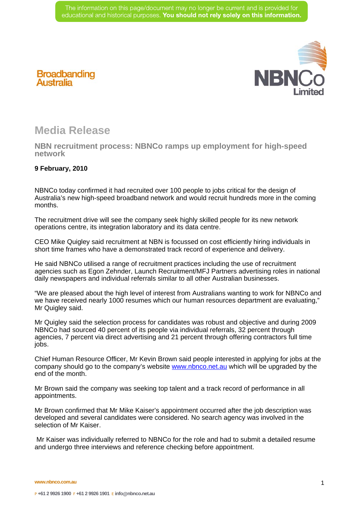

## **Broadbanding Australia**

## **Media Release**

**NBN recruitment process: NBNCo ramps up employment for high-speed network** 

## **9 February, 2010**

NBNCo today confirmed it had recruited over 100 people to jobs critical for the design of Australia's new high-speed broadband network and would recruit hundreds more in the coming months.

The recruitment drive will see the company seek highly skilled people for its new network operations centre, its integration laboratory and its data centre.

CEO Mike Quigley said recruitment at NBN is focussed on cost efficiently hiring individuals in short time frames who have a demonstrated track record of experience and delivery.

He said NBNCo utilised a range of recruitment practices including the use of recruitment agencies such as Egon Zehnder, Launch Recruitment/MFJ Partners advertising roles in national daily newspapers and individual referrals similar to all other Australian businesses.

"We are pleased about the high level of interest from Australians wanting to work for NBNCo and we have received nearly 1000 resumes which our human resources department are evaluating," Mr Quigley said.

Mr Quigley said the selection process for candidates was robust and objective and during 2009 NBNCo had sourced 40 percent of its people via individual referrals, 32 percent through agencies, 7 percent via direct advertising and 21 percent through offering contractors full time jobs.

Chief Human Resource Officer, Mr Kevin Brown said people interested in applying for jobs at the company should go to the company's website www.nbnco.net.au which will be upgraded by the end of the month.

Mr Brown said the company was seeking top talent and a track record of performance in all appointments.

Mr Brown confirmed that Mr Mike Kaiser's appointment occurred after the job description was developed and several candidates were considered. No search agency was involved in the selection of Mr Kaiser.

 Mr Kaiser was individually referred to NBNCo for the role and had to submit a detailed resume and undergo three interviews and reference checking before appointment.

**www.nbnco.com.au**